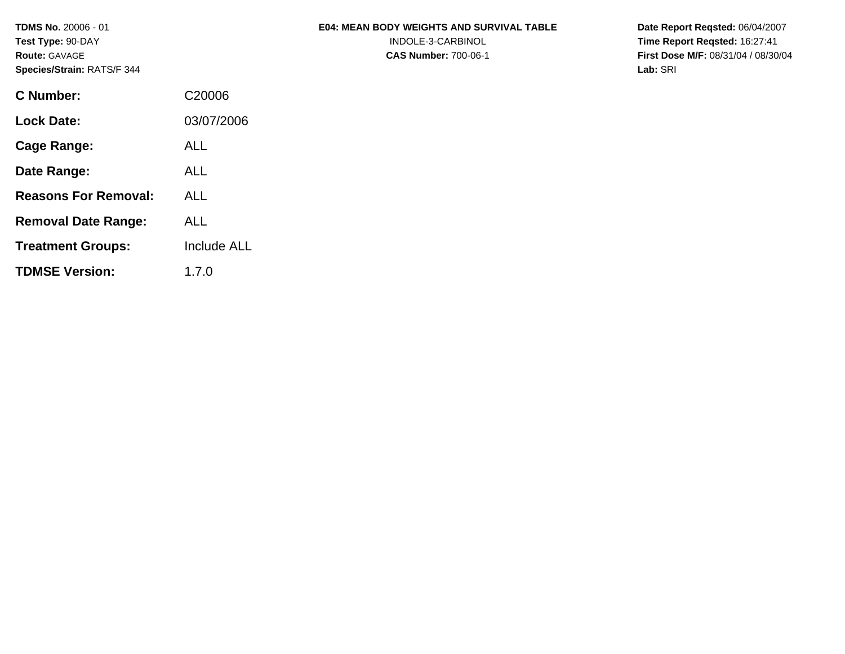**TDMS No.** 20006 - 01 **Test Type:** 90-DAY **Route:** GAVAGE **Species/Strain:** RATS/F 344

### **E04: MEAN BODY WEIGHTS AND SURVIVAL TABLE**  INDOLE-3-CARBINOL

**CAS Number:** 700-06-1

**Date Report Reqsted:** 06/04/2007 **Time Report Reqsted:** 16:27:41 **First Dose M/F:** 08/31/04 / 08/30/04 **Lab:** SRI

| C Number:                   | C20006             |
|-----------------------------|--------------------|
| Lock Date:                  | 03/07/2006         |
| Cage Range:                 | ALL                |
| Date Range:                 | ALL                |
| <b>Reasons For Removal:</b> | ALL                |
| <b>Removal Date Range:</b>  | ALL                |
| <b>Treatment Groups:</b>    | <b>Include ALL</b> |
| <b>TDMSE Version:</b>       | 1.7.0              |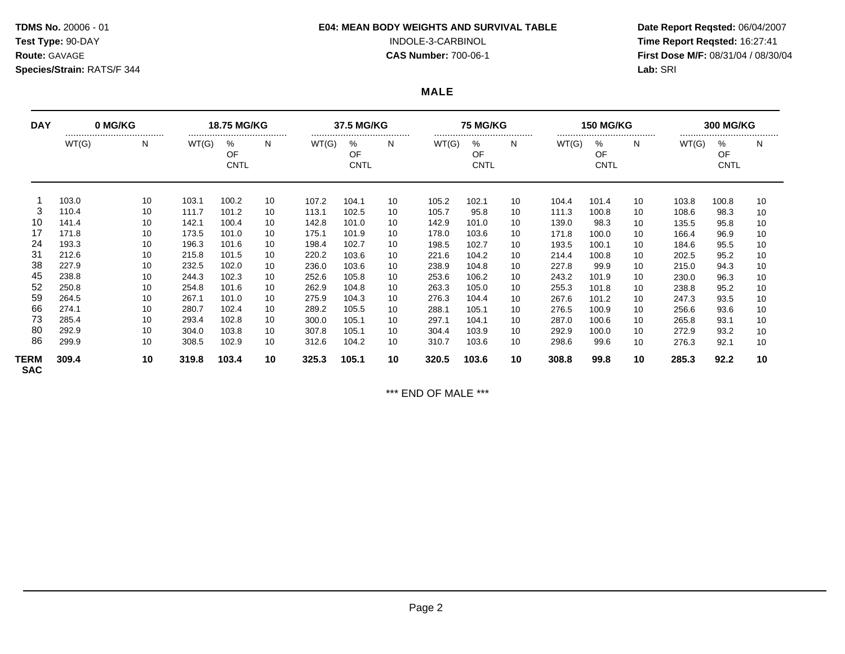# **Species/Strain:** RATS/F 344 **Lab:** SRI

### **TDMS No.** 20006 - 01 **E04: MEAN BODY WEIGHTS AND SURVIVAL TABLE Date Report Reqsted:** 06/04/2007

**Test Type:** 90-DAY INDOLE-3-CARBINOL **Time Report Reqsted:** 16:27:41 **Route:** GAVAGE **CAS Number:** 700-06-1 **First Dose M/F:** 08/31/04 / 08/30/04

## **MALE**

| <b>DAY</b>         | 0 MG/KG |       | <b>18.75 MG/KG</b> |                        |    | 37.5 MG/KG |                            |    | <b>75 MG/KG</b> |                            |    | <b>150 MG/KG</b> |                            |    | <b>300 MG/KG</b> |                            |    |
|--------------------|---------|-------|--------------------|------------------------|----|------------|----------------------------|----|-----------------|----------------------------|----|------------------|----------------------------|----|------------------|----------------------------|----|
|                    | WT(G)   | <br>N | WT(G)              | %<br>OF<br><b>CNTL</b> | N. | WT(G)      | <br>%<br>OF<br><b>CNTL</b> | N  | WT(G)           | <br>℅<br>OF<br><b>CNTL</b> | N  | WT(G)            | <br>%<br>OF<br><b>CNTL</b> | N  | WT(G)            | <br>%<br>OF<br><b>CNTL</b> | N  |
|                    | 103.0   | 10    | 103.1              | 100.2                  | 10 | 107.2      | 104.1                      | 10 | 105.2           | 102.1                      | 10 | 104.4            | 101.4                      | 10 | 103.8            | 100.8                      | 10 |
| 3                  | 110.4   | 10    | 111.7              | 101.2                  | 10 | 113.1      | 102.5                      | 10 | 105.7           | 95.8                       | 10 | 111.3            | 100.8                      | 10 | 108.6            | 98.3                       | 10 |
| 10                 | 141.4   | 10    | 142.1              | 100.4                  | 10 | 142.8      | 101.0                      | 10 | 142.9           | 101.0                      | 10 | 139.0            | 98.3                       | 10 | 135.5            | 95.8                       | 10 |
| 17                 | 171.8   | 10    | 173.5              | 101.0                  | 10 | 175.1      | 101.9                      | 10 | 178.0           | 103.6                      | 10 | 171.8            | 100.0                      | 10 | 166.4            | 96.9                       | 10 |
| 24                 | 193.3   | 10    | 196.3              | 101.6                  | 10 | 198.4      | 102.7                      | 10 | 198.5           | 102.7                      | 10 | 193.5            | 100.1                      | 10 | 184.6            | 95.5                       | 10 |
| 31                 | 212.6   | 10    | 215.8              | 101.5                  | 10 | 220.2      | 103.6                      | 10 | 221.6           | 104.2                      | 10 | 214.4            | 100.8                      | 10 | 202.5            | 95.2                       | 10 |
| 38                 | 227.9   | 10    | 232.5              | 102.0                  | 10 | 236.0      | 103.6                      | 10 | 238.9           | 104.8                      | 10 | 227.8            | 99.9                       | 10 | 215.0            | 94.3                       | 10 |
| 45                 | 238.8   | 10    | 244.3              | 102.3                  | 10 | 252.6      | 105.8                      | 10 | 253.6           | 106.2                      | 10 | 243.2            | 101.9                      | 10 | 230.0            | 96.3                       | 10 |
| 52                 | 250.8   | 10    | 254.8              | 101.6                  | 10 | 262.9      | 104.8                      | 10 | 263.3           | 105.0                      | 10 | 255.3            | 101.8                      | 10 | 238.8            | 95.2                       | 10 |
| 59                 | 264.5   | 10    | 267.1              | 101.0                  | 10 | 275.9      | 104.3                      | 10 | 276.3           | 104.4                      | 10 | 267.6            | 101.2                      | 10 | 247.3            | 93.5                       | 10 |
| 66                 | 274.1   | 10    | 280.7              | 102.4                  | 10 | 289.2      | 105.5                      | 10 | 288.1           | 105.1                      | 10 | 276.5            | 100.9                      | 10 | 256.6            | 93.6                       | 10 |
| 73                 | 285.4   | 10    | 293.4              | 102.8                  | 10 | 300.0      | 105.7                      | 10 | 297.1           | 104.1                      | 10 | 287.0            | 100.6                      | 10 | 265.8            | 93.1                       | 10 |
| 80                 | 292.9   | 10    | 304.0              | 103.8                  | 10 | 307.8      | 105.7                      | 10 | 304.4           | 103.9                      | 10 | 292.9            | 100.0                      | 10 | 272.9            | 93.2                       | 10 |
| 86                 | 299.9   | 10    | 308.5              | 102.9                  | 10 | 312.6      | 104.2                      | 10 | 310.7           | 103.6                      | 10 | 298.6            | 99.6                       | 10 | 276.3            | 92.1                       | 10 |
| TERM<br><b>SAC</b> | 309.4   | 10    | 319.8              | 103.4                  | 10 | 325.3      | 105.1                      | 10 | 320.5           | 103.6                      | 10 | 308.8            | 99.8                       | 10 | 285.3            | 92.2                       | 10 |

\*\*\* END OF MALE \*\*\*